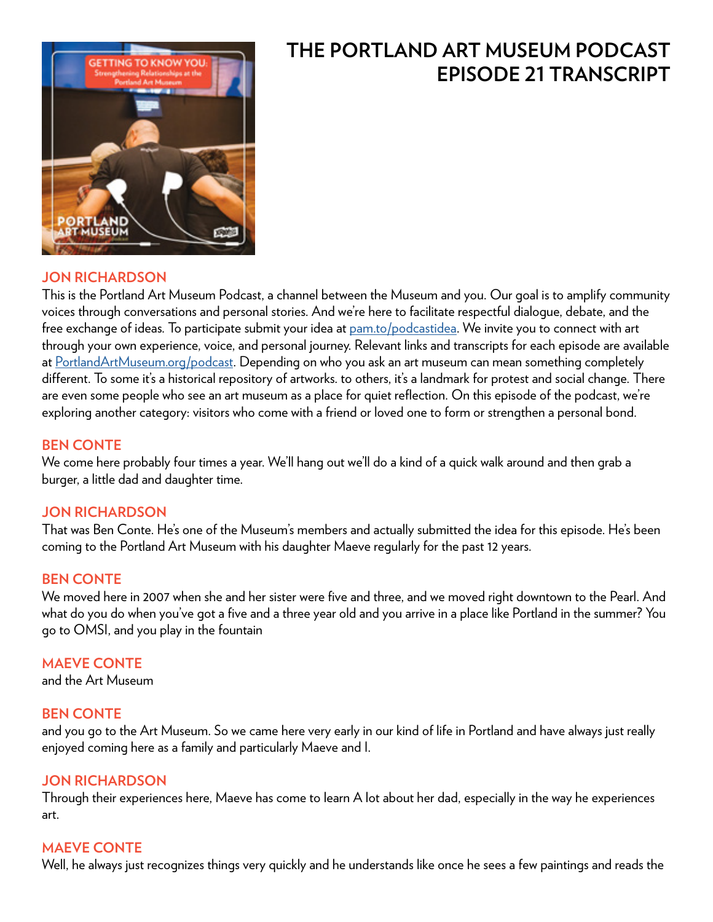

# **THE PORTLAND ART MUSEUM PODCAST EPISODE 21 TRANSCRIPT**

# **JON RICHARDSON**

This is the Portland Art Museum Podcast, a channel between the Museum and you. Our goal is to amplify community voices through conversations and personal stories. And we're here to facilitate respectful dialogue, debate, and the free exchange of ideas. To participate submit your idea at [pam.to/podcastidea](http://pam.to/podcastidea). We invite you to connect with art through your own experience, voice, and personal journey. Relevant links and transcripts for each episode are available at [PortlandArtMuseum.org/podcast](https://PortlandArtMuseum.org/podcast). Depending on who you ask an art museum can mean something completely different. To some it's a historical repository of artworks. to others, it's a landmark for protest and social change. There are even some people who see an art museum as a place for quiet reflection. On this episode of the podcast, we're exploring another category: visitors who come with a friend or loved one to form or strengthen a personal bond.

#### **BEN CONTE**

We come here probably four times a year. We'll hang out we'll do a kind of a quick walk around and then grab a burger, a little dad and daughter time.

# **JON RICHARDSON**

That was Ben Conte. He's one of the Museum's members and actually submitted the idea for this episode. He's been coming to the Portland Art Museum with his daughter Maeve regularly for the past 12 years.

# **BEN CONTE**

We moved here in 2007 when she and her sister were five and three, and we moved right downtown to the Pearl. And what do you do when you've got a five and a three year old and you arrive in a place like Portland in the summer? You go to OMSI, and you play in the fountain

# **MAEVE CONTE**

and the Art Museum

# **BEN CONTE**

and you go to the Art Museum. So we came here very early in our kind of life in Portland and have always just really enjoyed coming here as a family and particularly Maeve and I.

# **JON RICHARDSON**

Through their experiences here, Maeve has come to learn A lot about her dad, especially in the way he experiences art.

# **MAEVE CONTE**

Well, he always just recognizes things very quickly and he understands like once he sees a few paintings and reads the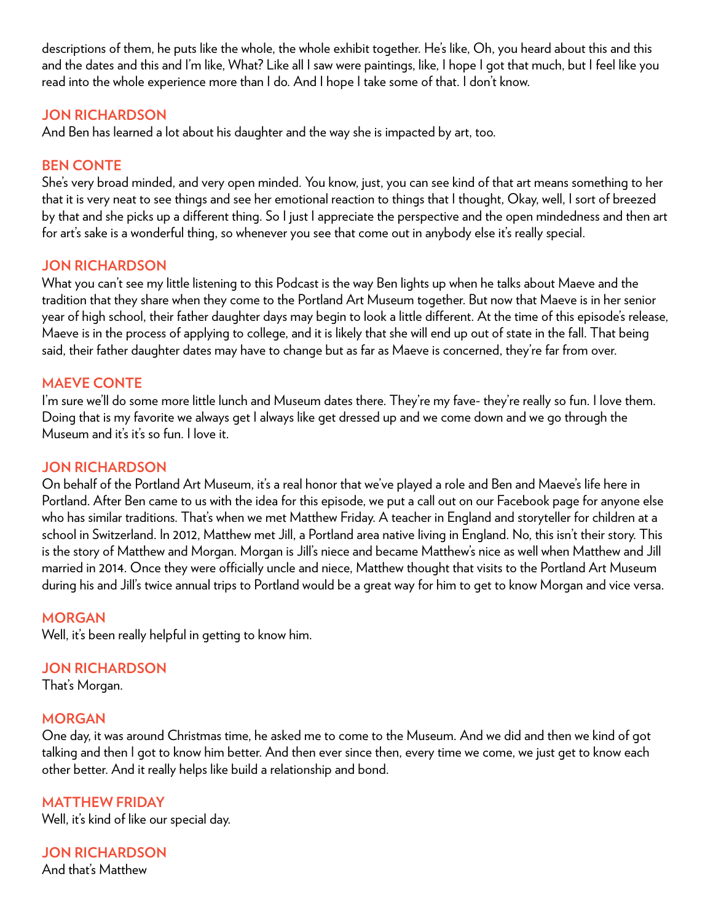descriptions of them, he puts like the whole, the whole exhibit together. He's like, Oh, you heard about this and this and the dates and this and I'm like, What? Like all I saw were paintings, like, I hope I got that much, but I feel like you read into the whole experience more than I do. And I hope I take some of that. I don't know.

# **JON RICHARDSON**

And Ben has learned a lot about his daughter and the way she is impacted by art, too.

# **BEN CONTE**

She's very broad minded, and very open minded. You know, just, you can see kind of that art means something to her that it is very neat to see things and see her emotional reaction to things that I thought, Okay, well, I sort of breezed by that and she picks up a different thing. So I just I appreciate the perspective and the open mindedness and then art for art's sake is a wonderful thing, so whenever you see that come out in anybody else it's really special.

# **JON RICHARDSON**

What you can't see my little listening to this Podcast is the way Ben lights up when he talks about Maeve and the tradition that they share when they come to the Portland Art Museum together. But now that Maeve is in her senior year of high school, their father daughter days may begin to look a little different. At the time of this episode's release, Maeve is in the process of applying to college, and it is likely that she will end up out of state in the fall. That being said, their father daughter dates may have to change but as far as Maeve is concerned, they're far from over.

# **MAEVE CONTE**

I'm sure we'll do some more little lunch and Museum dates there. They're my fave- they're really so fun. I love them. Doing that is my favorite we always get I always like get dressed up and we come down and we go through the Museum and it's it's so fun. I love it.

# **JON RICHARDSON**

On behalf of the Portland Art Museum, it's a real honor that we've played a role and Ben and Maeve's life here in Portland. After Ben came to us with the idea for this episode, we put a call out on our Facebook page for anyone else who has similar traditions. That's when we met Matthew Friday. A teacher in England and storyteller for children at a school in Switzerland. In 2012, Matthew met Jill, a Portland area native living in England. No, this isn't their story. This is the story of Matthew and Morgan. Morgan is Jill's niece and became Matthew's nice as well when Matthew and Jill married in 2014. Once they were officially uncle and niece, Matthew thought that visits to the Portland Art Museum during his and Jill's twice annual trips to Portland would be a great way for him to get to know Morgan and vice versa.

# **MORGAN**

Well, it's been really helpful in getting to know him.

# **JON RICHARDSON**

That's Morgan.

# **MORGAN**

One day, it was around Christmas time, he asked me to come to the Museum. And we did and then we kind of got talking and then I got to know him better. And then ever since then, every time we come, we just get to know each other better. And it really helps like build a relationship and bond.

# **MATTHEW FRIDAY**

Well, it's kind of like our special day.

**JON RICHARDSON**  And that's Matthew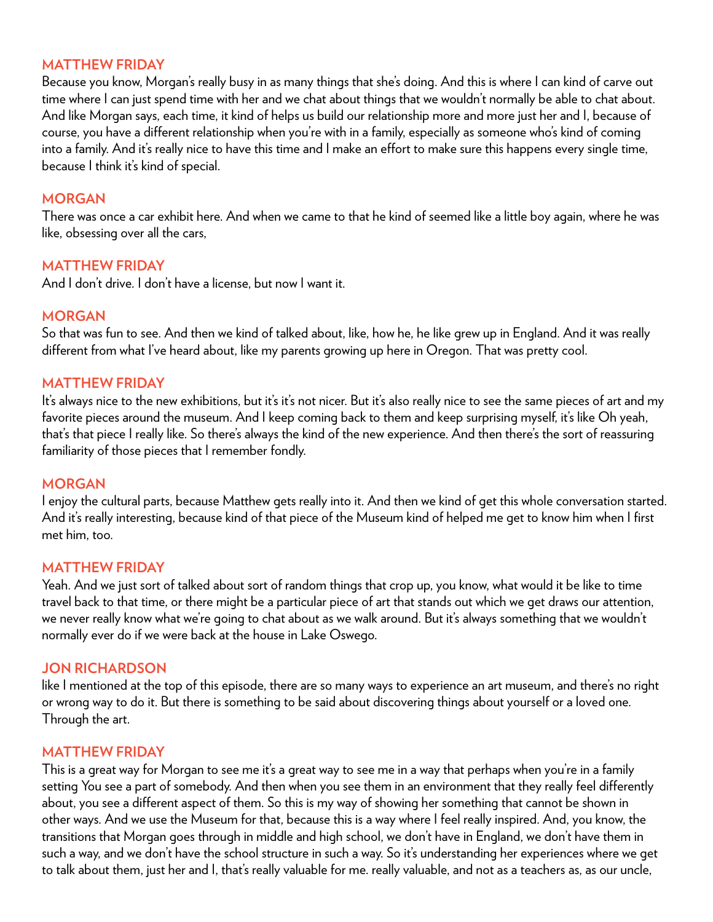### **MATTHEW FRIDAY**

Because you know, Morgan's really busy in as many things that she's doing. And this is where I can kind of carve out time where I can just spend time with her and we chat about things that we wouldn't normally be able to chat about. And like Morgan says, each time, it kind of helps us build our relationship more and more just her and I, because of course, you have a different relationship when you're with in a family, especially as someone who's kind of coming into a family. And it's really nice to have this time and I make an effort to make sure this happens every single time, because I think it's kind of special.

# **MORGAN**

There was once a car exhibit here. And when we came to that he kind of seemed like a little boy again, where he was like, obsessing over all the cars,

#### **MATTHEW FRIDAY**

And I don't drive. I don't have a license, but now I want it.

#### **MORGAN**

So that was fun to see. And then we kind of talked about, like, how he, he like grew up in England. And it was really different from what I've heard about, like my parents growing up here in Oregon. That was pretty cool.

#### **MATTHEW FRIDAY**

It's always nice to the new exhibitions, but it's it's not nicer. But it's also really nice to see the same pieces of art and my favorite pieces around the museum. And I keep coming back to them and keep surprising myself, it's like Oh yeah, that's that piece I really like. So there's always the kind of the new experience. And then there's the sort of reassuring familiarity of those pieces that I remember fondly.

#### **MORGAN**

I enjoy the cultural parts, because Matthew gets really into it. And then we kind of get this whole conversation started. And it's really interesting, because kind of that piece of the Museum kind of helped me get to know him when I first met him, too.

#### **MATTHEW FRIDAY**

Yeah. And we just sort of talked about sort of random things that crop up, you know, what would it be like to time travel back to that time, or there might be a particular piece of art that stands out which we get draws our attention, we never really know what we're going to chat about as we walk around. But it's always something that we wouldn't normally ever do if we were back at the house in Lake Oswego.

#### **JON RICHARDSON**

like I mentioned at the top of this episode, there are so many ways to experience an art museum, and there's no right or wrong way to do it. But there is something to be said about discovering things about yourself or a loved one. Through the art.

#### **MATTHEW FRIDAY**

This is a great way for Morgan to see me it's a great way to see me in a way that perhaps when you're in a family setting You see a part of somebody. And then when you see them in an environment that they really feel differently about, you see a different aspect of them. So this is my way of showing her something that cannot be shown in other ways. And we use the Museum for that, because this is a way where I feel really inspired. And, you know, the transitions that Morgan goes through in middle and high school, we don't have in England, we don't have them in such a way, and we don't have the school structure in such a way. So it's understanding her experiences where we get to talk about them, just her and I, that's really valuable for me. really valuable, and not as a teachers as, as our uncle,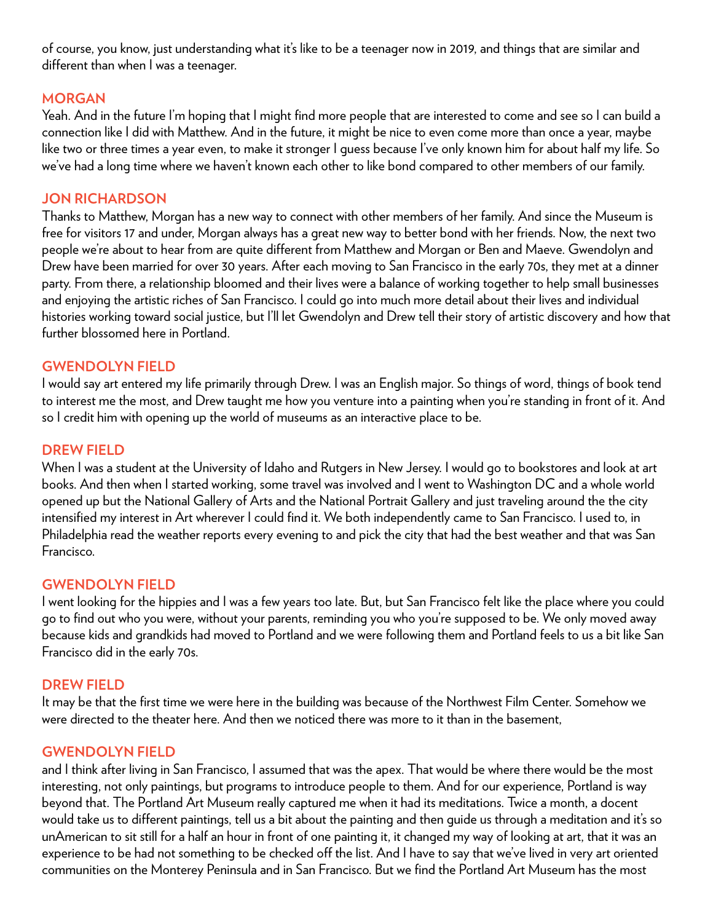of course, you know, just understanding what it's like to be a teenager now in 2019, and things that are similar and different than when I was a teenager.

# **MORGAN**

Yeah. And in the future I'm hoping that I might find more people that are interested to come and see so I can build a connection like I did with Matthew. And in the future, it might be nice to even come more than once a year, maybe like two or three times a year even, to make it stronger I guess because I've only known him for about half my life. So we've had a long time where we haven't known each other to like bond compared to other members of our family.

# **JON RICHARDSON**

Thanks to Matthew, Morgan has a new way to connect with other members of her family. And since the Museum is free for visitors 17 and under, Morgan always has a great new way to better bond with her friends. Now, the next two people we're about to hear from are quite different from Matthew and Morgan or Ben and Maeve. Gwendolyn and Drew have been married for over 30 years. After each moving to San Francisco in the early 70s, they met at a dinner party. From there, a relationship bloomed and their lives were a balance of working together to help small businesses and enjoying the artistic riches of San Francisco. I could go into much more detail about their lives and individual histories working toward social justice, but I'll let Gwendolyn and Drew tell their story of artistic discovery and how that further blossomed here in Portland.

# **GWENDOLYN FIELD**

I would say art entered my life primarily through Drew. I was an English major. So things of word, things of book tend to interest me the most, and Drew taught me how you venture into a painting when you're standing in front of it. And so I credit him with opening up the world of museums as an interactive place to be.

# **DREW FIELD**

When I was a student at the University of Idaho and Rutgers in New Jersey. I would go to bookstores and look at art books. And then when I started working, some travel was involved and I went to Washington DC and a whole world opened up but the National Gallery of Arts and the National Portrait Gallery and just traveling around the the city intensified my interest in Art wherever I could find it. We both independently came to San Francisco. I used to, in Philadelphia read the weather reports every evening to and pick the city that had the best weather and that was San Francisco.

# **GWENDOLYN FIELD**

I went looking for the hippies and I was a few years too late. But, but San Francisco felt like the place where you could go to find out who you were, without your parents, reminding you who you're supposed to be. We only moved away because kids and grandkids had moved to Portland and we were following them and Portland feels to us a bit like San Francisco did in the early 70s.

# **DREW FIELD**

It may be that the first time we were here in the building was because of the Northwest Film Center. Somehow we were directed to the theater here. And then we noticed there was more to it than in the basement,

# **GWENDOLYN FIELD**

and I think after living in San Francisco, I assumed that was the apex. That would be where there would be the most interesting, not only paintings, but programs to introduce people to them. And for our experience, Portland is way beyond that. The Portland Art Museum really captured me when it had its meditations. Twice a month, a docent would take us to different paintings, tell us a bit about the painting and then guide us through a meditation and it's so unAmerican to sit still for a half an hour in front of one painting it, it changed my way of looking at art, that it was an experience to be had not something to be checked off the list. And I have to say that we've lived in very art oriented communities on the Monterey Peninsula and in San Francisco. But we find the Portland Art Museum has the most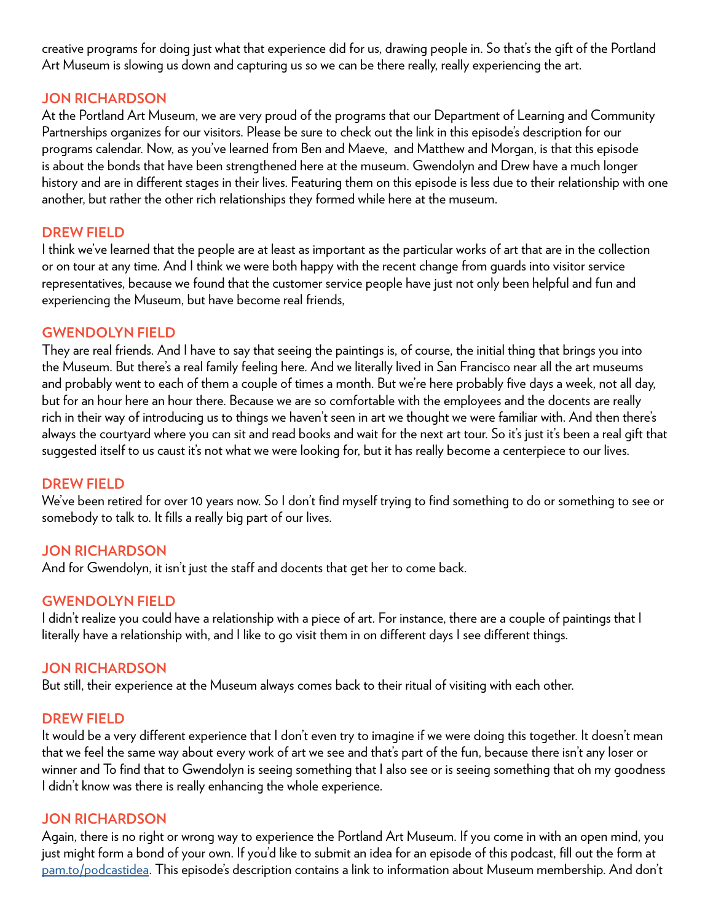creative programs for doing just what that experience did for us, drawing people in. So that's the gift of the Portland Art Museum is slowing us down and capturing us so we can be there really, really experiencing the art.

# **JON RICHARDSON**

At the Portland Art Museum, we are very proud of the programs that our Department of Learning and Community Partnerships organizes for our visitors. Please be sure to check out the link in this episode's description for our programs calendar. Now, as you've learned from Ben and Maeve, and Matthew and Morgan, is that this episode is about the bonds that have been strengthened here at the museum. Gwendolyn and Drew have a much longer history and are in different stages in their lives. Featuring them on this episode is less due to their relationship with one another, but rather the other rich relationships they formed while here at the museum.

# **DREW FIELD**

I think we've learned that the people are at least as important as the particular works of art that are in the collection or on tour at any time. And I think we were both happy with the recent change from guards into visitor service representatives, because we found that the customer service people have just not only been helpful and fun and experiencing the Museum, but have become real friends,

# **GWENDOLYN FIELD**

They are real friends. And I have to say that seeing the paintings is, of course, the initial thing that brings you into the Museum. But there's a real family feeling here. And we literally lived in San Francisco near all the art museums and probably went to each of them a couple of times a month. But we're here probably five days a week, not all day, but for an hour here an hour there. Because we are so comfortable with the employees and the docents are really rich in their way of introducing us to things we haven't seen in art we thought we were familiar with. And then there's always the courtyard where you can sit and read books and wait for the next art tour. So it's just it's been a real gift that suggested itself to us caust it's not what we were looking for, but it has really become a centerpiece to our lives.

# **DREW FIELD**

We've been retired for over 10 years now. So I don't find myself trying to find something to do or something to see or somebody to talk to. It fills a really big part of our lives.

# **JON RICHARDSON**

And for Gwendolyn, it isn't just the staff and docents that get her to come back.

# **GWENDOLYN FIELD**

I didn't realize you could have a relationship with a piece of art. For instance, there are a couple of paintings that I literally have a relationship with, and I like to go visit them in on different days I see different things.

# **JON RICHARDSON**

But still, their experience at the Museum always comes back to their ritual of visiting with each other.

# **DREW FIELD**

It would be a very different experience that I don't even try to imagine if we were doing this together. It doesn't mean that we feel the same way about every work of art we see and that's part of the fun, because there isn't any loser or winner and To find that to Gwendolyn is seeing something that I also see or is seeing something that oh my goodness I didn't know was there is really enhancing the whole experience.

# **JON RICHARDSON**

Again, there is no right or wrong way to experience the Portland Art Museum. If you come in with an open mind, you just might form a bond of your own. If you'd like to submit an idea for an episode of this podcast, fill out the form at [pam.to/podcastidea.](http://pam.to/podcastidea) This episode's description contains a link to information about Museum membership. And don't